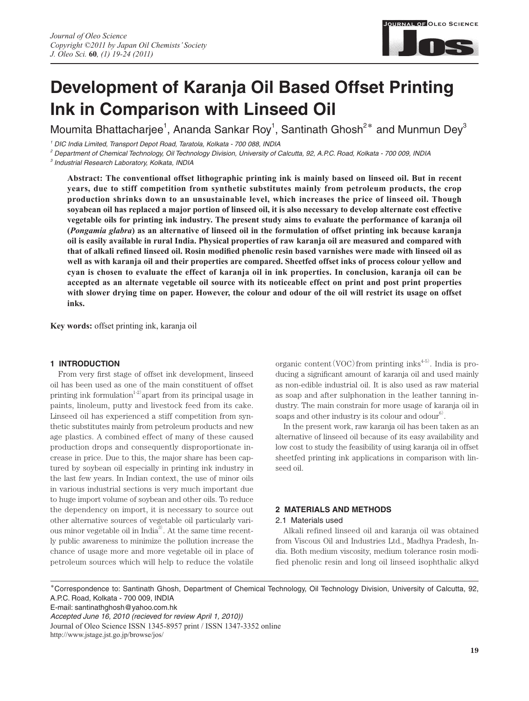

# **Development of Karanja Oil Based Offset Printing Ink in Comparison with Linseed Oil**

Moumita Bhattacharjee<sup>1</sup>, Ananda Sankar Roy<sup>1</sup>, Santinath Ghosh<sup>2\*</sup> and Munmun Dey<sup>3</sup>

*1 DIC India Limited, Transport Depot Road, Taratola, Kolkata - 700 088, INDIA*

*2 Department of Chemical Technology, Oil Technology Division, University of Calcutta, 92, A.P.C. Road, Kolkata - 700 009, INDIA*

*3 Industrial Research Laboratory, Kolkata, INDIA*

**Abstract: The conventional offset lithographic printing ink is mainly based on linseed oil. But in recent years, due to stiff competition from synthetic substitutes mainly from petroleum products, the crop production shrinks down to an unsustainable level, which increases the price of linseed oil. Though soyabean oil has replaced a major portion of linseed oil, it is also necessary to develop alternate cost effective vegetable oils for printing ink industry. The present study aims to evaluate the performance of karanja oil (***Pongamia glabra***) as an alternative of linseed oil in the formulation of offset printing ink because karanja oil is easily available in rural India. Physical properties of raw karanja oil are measured and compared with**  that of alkali refined linseed oil. Rosin modified phenolic resin based varnishes were made with linseed oil as **well as with karanja oil and their properties are compared. Sheetfed offset inks of process colour yellow and cyan is chosen to evaluate the effect of karanja oil in ink properties. In conclusion, karanja oil can be accepted as an alternate vegetable oil source with its noticeable effect on print and post print properties**  with slower drying time on paper. However, the colour and odour of the oil will restrict its usage on offset **inks.**

**Key words:** offset printing ink, karanja oil

## **1 INTRODUCTION**

From very first stage of offset ink development, linseed oil has been used as one of the main constituent of offset printing ink formulation<sup>1-2)</sup> apart from its principal usage in paints, linoleum, putty and livestock feed from its cake. Linseed oil has experienced a stiff competition from synthetic substitutes mainly from petroleum products and new age plastics. A combined effect of many of these caused production drops and consequently disproportionate increase in price. Due to this, the major share has been captured by soybean oil especially in printing ink industry in the last few years. In Indian context, the use of minor oils in various industrial sections is very much important due to huge import volume of soybean and other oils. To reduce the dependency on import, it is necessary to source out other alternative sources of vegetable oil particularly various minor vegetable oil in India<sup>3</sup>. At the same time recently public awareness to minimize the pollution increase the chance of usage more and more vegetable oil in place of petroleum sources which will help to reduce the volatile

organic content  $(VOC)$  from printing inks<sup>4-5)</sup>. India is producing a significant amount of karanja oil and used mainly as non-edible industrial oil. It is also used as raw material as soap and after sulphonation in the leather tanning industry. The main constrain for more usage of karanja oil in soaps and other industry is its colour and odour<sup>6</sup>.

In the present work, raw karanja oil has been taken as an alternative of linseed oil because of its easy availability and low cost to study the feasibility of using karanja oil in offset sheetfed printing ink applications in comparison with linseed oil.

# **2 MATERIALS AND METHODS**

#### 2.1 Materials used

Alkali refined linseed oil and karanja oil was obtained from Viscous Oil and Industries Ltd., Madhya Pradesh, India. Both medium viscosity, medium tolerance rosin modified phenolic resin and long oil linseed isophthalic alkyd

**\***Correspondence to: Santinath Ghosh, Department of Chemical Technology, Oil Technology Division, University of Calcutta, 92, A.P.C. Road, Kolkata - 700 009, INDIA

E-mail: santinathghosh@yahoo.com.hk

*Accepted June 16, 2010 (recieved for review April 1, 2010))*  Journal of Oleo Science ISSN 1345-8957 print / ISSN 1347-3352 online http://www.jstage.jst.go.jp/browse/jos/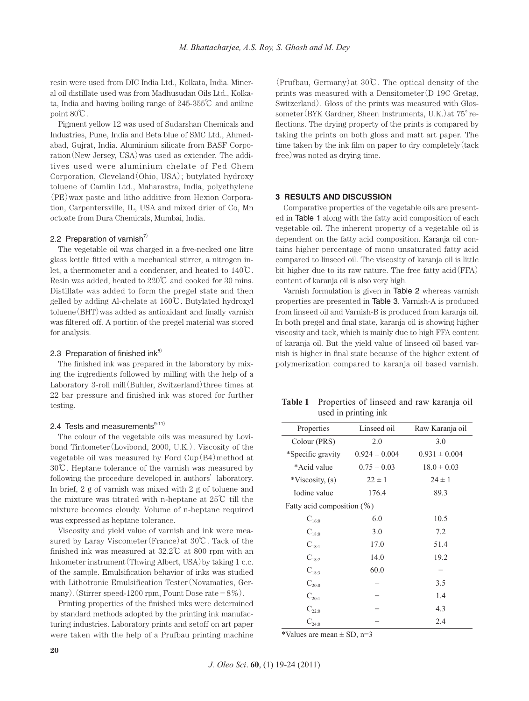resin were used from DIC India Ltd., Kolkata, India. Mineral oil distillate used was from Madhusudan Oils Ltd., Kolkata, India and having boiling range of 245-355℃ and aniline point 80℃.

Pigment yellow 12 was used of Sudarshan Chemicals and Industries, Pune, India and Beta blue of SMC Ltd., Ahmedabad, Gujrat, India. Aluminium silicate from BASF Corporation(New Jersey, USA)was used as extender. The additives used were aluminium chelate of Fed Chem Corporation, Cleveland(Ohio, USA); butylated hydroxy toluene of Camlin Ltd., Maharastra, India, polyethylene (PE)wax paste and litho additive from Hexion Corporation, Carpentersville, IL, USA and mixed drier of Co, Mn octoate from Dura Chemicals, Mumbai, India.

### 2.2 Preparation of varnish<sup>7)</sup>

The vegetable oil was charged in a five-necked one litre glass kettle fitted with a mechanical stirrer, a nitrogen inlet, a thermometer and a condenser, and heated to 140℃. Resin was added, heated to 220℃ and cooked for 30 mins. Distillate was added to form the pregel state and then gelled by adding Al-chelate at 160℃. Butylated hydroxyl toluene (BHT) was added as antioxidant and finally varnish was filtered off. A portion of the pregel material was stored for analysis.

## 2.3 Preparation of finished in $k^8$

The finished ink was prepared in the laboratory by mixing the ingredients followed by milling with the help of a Laboratory 3-roll mill (Buhler, Switzerland) three times at 22 bar pressure and finished ink was stored for further testing.

# 2.4 Tests and measurements $9-11)$

The colour of the vegetable oils was measured by Lovibond Tintometer(Lovibond, 2000, U.K.). Viscosity of the vegetable oil was measured by Ford  $C_{\text{up}}(B4)$  method at 30℃. Heptane tolerance of the varnish was measured by following the procedure developed in authors' laboratory. In brief, 2 g of varnish was mixed with 2 g of toluene and the mixture was titrated with n-heptane at 25℃ till the mixture becomes cloudy. Volume of n-heptane required was expressed as heptane tolerance.

Viscosity and yield value of varnish and ink were measured by Laray Viscometer(France)at 30℃. Tack of the finished ink was measured at 32.2℃ at 800 rpm with an Inkometer instrument(Thwing Albert, USA)by taking 1 c.c. of the sample. Emulsification behavior of inks was studied with Lithotronic Emulsification Tester(Novamatics, Germany). (Stirrer speed-1200 rpm, Fount Dose rate  $-8\%$ ).

Printing properties of the finished inks were determined by standard methods adopted by the printing ink manufacturing industries. Laboratory prints and setoff on art paper were taken with the help of a Prufbau printing machine

(Prufbau, Germany)at 30℃. The optical density of the prints was measured with a Densitometer  $(D \ 19C \ 19C)$ Switzerland). Gloss of the prints was measured with Glossometer(BYK Gardner, Sheen Instruments, U.K.)at 75°reflections. The drying property of the prints is compared by taking the prints on both gloss and matt art paper. The time taken by the ink film on paper to dry completely  $(\text{tack})$ free)was noted as drying time.

## **3 RESULTS AND DISCUSSION**

Comparative properties of the vegetable oils are presented in Table 1 along with the fatty acid composition of each vegetable oil. The inherent property of a vegetable oil is dependent on the fatty acid composition. Karanja oil contains higher percentage of mono unsaturated fatty acid compared to linseed oil. The viscosity of karanja oil is little bit higher due to its raw nature. The free fatty acid(FFA) content of karanja oil is also very high.

Varnish formulation is given in Table 2 whereas varnish properties are presented in Table 3. Varnish-A is produced from linseed oil and Varnish-B is produced from karanja oil. In both pregel and final state, karanja oil is showing higher viscosity and tack, which is mainly due to high FFA content of karanja oil. But the yield value of linseed oil based varnish is higher in final state because of the higher extent of polymerization compared to karanja oil based varnish.

| <b>Table 1</b> Properties of linseed and raw karanja oil |  |
|----------------------------------------------------------|--|
| used in printing ink                                     |  |

| Properties                    | Linseed oil       | Raw Karanja oil   |
|-------------------------------|-------------------|-------------------|
| Colour (PRS)                  | 2.0               | 3.0               |
| *Specific gravity             | $0.924 \pm 0.004$ | $0.931 \pm 0.004$ |
| *Acid value                   | $0.75 \pm 0.03$   | $18.0 \pm 0.03$   |
| *Viscosity, (s)               | $22 \pm 1$        | $24 \pm 1$        |
| Iodine value                  | 176.4             | 89.3              |
| Fatty acid composition $(\%)$ |                   |                   |
| $C_{16:0}$                    | 6.0               | 10.5              |
| $C_{18:0}$                    | 3.0               | 7.2               |
| $C_{18:1}$                    | 17.0              | 51.4              |
| $C_{18:2}$                    | 14.0              | 19.2              |
| $C_{18:3}$                    | 60.0              |                   |
| $C_{20:0}$                    |                   | 3.5               |
| $C_{20:1}$                    |                   | 1.4               |
| $C_{220}$                     |                   | 4.3               |
| $C_{24:0}$                    |                   | 2.4               |

\*Values are mean  $\pm$  SD, n=3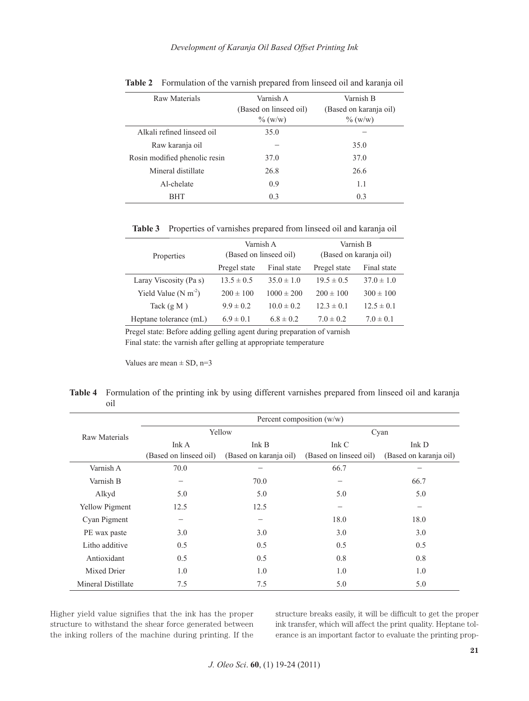*Development of Karanja Oil Based Offset Printing Ink*

| Raw Materials                 | Varnish A              | Varnish B              |
|-------------------------------|------------------------|------------------------|
|                               | (Based on linseed oil) | (Based on karanja oil) |
|                               | $\%$ (w/w)             | $\%$ (w/w)             |
| Alkali refined linseed oil    | 35.0                   |                        |
| Raw karanja oil               |                        | 35.0                   |
| Rosin modified phenolic resin | 37.0                   | 37.0                   |
| Mineral distillate            | 26.8                   | 26.6                   |
| Al-chelate                    | 0.9                    | 1.1                    |
| <b>BHT</b>                    | 0.3                    | 0.3                    |

| Table 2 Formulation of the varnish prepared from linseed oil and karanja oil |  |  |  |
|------------------------------------------------------------------------------|--|--|--|
|------------------------------------------------------------------------------|--|--|--|

**Table 3** Properties of varnishes prepared from linseed oil and karanja oil

|                               | Varnish A              |                | Varnish B              |                |  |
|-------------------------------|------------------------|----------------|------------------------|----------------|--|
| Properties                    | (Based on linseed oil) |                | (Based on karanja oil) |                |  |
|                               | Pregel state           | Final state    | Pregel state           | Final state    |  |
| Laray Viscosity (Pa s)        | $13.5 \pm 0.5$         | $35.0 \pm 1.0$ | $19.5 \pm 0.5$         | $37.0 \pm 1.0$ |  |
| Yield Value $(N \text{ m}^2)$ | $200 \pm 100$          | $1000 \pm 200$ | $200 \pm 100$          | $300 \pm 100$  |  |
| Tack $(g M)$                  | $9.9 \pm 0.2$          | $10.0 \pm 0.2$ | $12.3 \pm 0.1$         | $12.5 \pm 0.1$ |  |
| Heptane tolerance (mL)        | $6.9 \pm 0.1$          | $6.8 \pm 0.2$  | $7.0 \pm 0.2$          | $7.0 \pm 0.1$  |  |

Pregel state: Before adding gelling agent during preparation of varnish

Final state: the varnish after gelling at appropriate temperature

Values are mean  $\pm$  SD, n=3

**Table 4** Formulation of the printing ink by using different varnishes prepared from linseed oil and karanja oil

|                       |                        | Percent composition $(w/w)$ |                          |                        |  |  |
|-----------------------|------------------------|-----------------------------|--------------------------|------------------------|--|--|
| Raw Materials         |                        | Yellow                      | Cyan                     |                        |  |  |
|                       | Ink A                  | Ink B                       | Ink C                    | Ink D                  |  |  |
|                       | (Based on linseed oil) | (Based on karanja oil)      | (Based on linseed oil)   | (Based on karanja oil) |  |  |
| Varnish A             | 70.0                   |                             | 66.7                     |                        |  |  |
| Varnish B             |                        | 70.0                        | $\overline{\phantom{0}}$ | 66.7                   |  |  |
| Alkyd                 | 5.0                    | 5.0                         | 5.0                      | 5.0                    |  |  |
| <b>Yellow Pigment</b> | 12.5                   | 12.5                        |                          |                        |  |  |
| Cyan Pigment          | —                      | -                           | 18.0                     | 18.0                   |  |  |
| PE wax paste          | 3.0                    | 3.0                         | 3.0                      | 3.0                    |  |  |
| Litho additive        | 0.5                    | 0.5                         | 0.5                      | 0.5                    |  |  |
| Antioxidant           | 0.5                    | 0.5                         | 0.8                      | 0.8                    |  |  |
| Mixed Drier           | 1.0                    | 1.0                         | 1.0                      | 1.0                    |  |  |
| Mineral Distillate    | 7.5                    | 7.5                         | 5.0                      | 5.0                    |  |  |

Higher yield value signifies that the ink has the proper structure to withstand the shear force generated between the inking rollers of the machine during printing. If the structure breaks easily, it will be difficult to get the proper ink transfer, which will affect the print quality. Heptane tolerance is an important factor to evaluate the printing prop-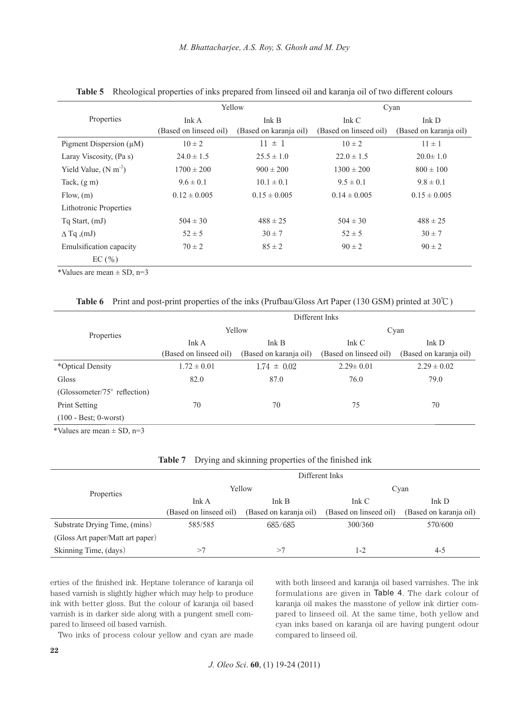|                                |                        | Yellow                 |                        | Cyan                   |
|--------------------------------|------------------------|------------------------|------------------------|------------------------|
| Properties                     | Ink A                  | Ink B                  | Ink $C$                | Ink D                  |
|                                | (Based on linseed oil) | (Based on karanja oil) | (Based on linseed oil) | (Based on karanja oil) |
| Pigment Dispersion $(\mu M)$   | $10 \pm 2$             | $11 \pm 1$             | $10 \pm 2$             | $11 \pm 1$             |
| Laray Viscosity, (Pa s)        | $24.0 \pm 1.5$         | $25.5 \pm 1.0$         | $22.0 \pm 1.5$         | $20.0 \pm 1.0$         |
| Yield Value, $(N \text{ m}^2)$ | $1700 \pm 200$         | $900 \pm 200$          | $1300 \pm 200$         | $800 \pm 100$          |
| Tack, $(g m)$                  | $9.6 \pm 0.1$          | $10.1 \pm 0.1$         | $9.5 \pm 0.1$          | $9.8 \pm 0.1$          |
| Flow, (m)                      | $0.12 \pm 0.005$       | $0.15 \pm 0.005$       | $0.14 \pm 0.005$       | $0.15 \pm 0.005$       |
| <b>Lithotronic Properties</b>  |                        |                        |                        |                        |
| $Tq$ Start, $(mJ)$             | $504 \pm 30$           | $488 \pm 25$           | $504 \pm 30$           | $488 \pm 25$           |
| $\Delta$ Tq (mJ)               | $52 \pm 5$             | $30 \pm 7$             | $52 \pm 5$             | $30 \pm 7$             |
| Emulsification capacity        | $70 \pm 2$             | $85 \pm 2$             | $90 \pm 2$             | $90 \pm 2$             |
| EC(%)                          |                        |                        |                        |                        |

**Table 5** Rheological properties of inks prepared from linseed oil and karanja oil of two different colours

\*Values are mean  $\pm$  SD, n=3

**Table 6** Print and post-print properties of the inks (Prufbau/Gloss Art Paper (130 GSM) printed at 30℃)

|                                        | Different Inks         |                        |                        |                        |  |
|----------------------------------------|------------------------|------------------------|------------------------|------------------------|--|
| Properties                             |                        | Yellow                 | Cyan                   |                        |  |
|                                        | Ink A                  | Ink B                  | Ink C                  | Ink $D$                |  |
|                                        | (Based on linseed oil) | (Based on karanja oil) | (Based on linseed oil) | (Based on karanja oil) |  |
| *Optical Density                       | $1.72 \pm 0.01$        | $1.74 \pm 0.02$        | $2.29 \pm 0.01$        | $2.29 \pm 0.02$        |  |
| Gloss                                  | 82.0                   | 87.0                   | 76.0                   | 79.0                   |  |
| (Glossometer/ $75^{\circ}$ reflection) |                        |                        |                        |                        |  |
| Print Setting                          | 70                     | 70                     | 75                     | 70                     |  |
| $(100 - Best; 0 - worst)$              |                        |                        |                        |                        |  |
| *Values are mean $+$ SD n=3            |                        |                        |                        |                        |  |

Values are mean  $\pm$  SD, n=3

|  | Table 7 Drying and skinning properties of the finished ink |  |  |  |  |
|--|------------------------------------------------------------|--|--|--|--|
|--|------------------------------------------------------------|--|--|--|--|

|                                  | Different Inks         |                        |                        |                        |  |
|----------------------------------|------------------------|------------------------|------------------------|------------------------|--|
| Properties                       |                        | Yellow                 | Cyan                   |                        |  |
|                                  | Ink A                  | Ink B                  | Ink C                  | Ink D                  |  |
|                                  | (Based on linseed oil) | (Based on karanja oil) | (Based on linseed oil) | (Based on karanja oil) |  |
| Substrate Drying Time, (mins)    | 585/585                | 685/685                | 300/360                | 570/600                |  |
| (Gloss Art paper/Matt art paper) |                        |                        |                        |                        |  |
| Skinning Time, (days)            | >7                     | >7                     | 1-2                    | 4-5                    |  |

erties of the finished ink. Heptane tolerance of karanja oil based varnish is slightly higher which may help to produce ink with better gloss. But the colour of karanja oil based varnish is in darker side along with a pungent smell compared to linseed oil based varnish.

Two inks of process colour yellow and cyan are made

with both linseed and karanja oil based varnishes. The ink formulations are given in Table 4. The dark colour of karanja oil makes the masstone of yellow ink dirtier compared to linseed oil. At the same time, both yellow and cyan inks based on karanja oil are having pungent odour compared to linseed oil.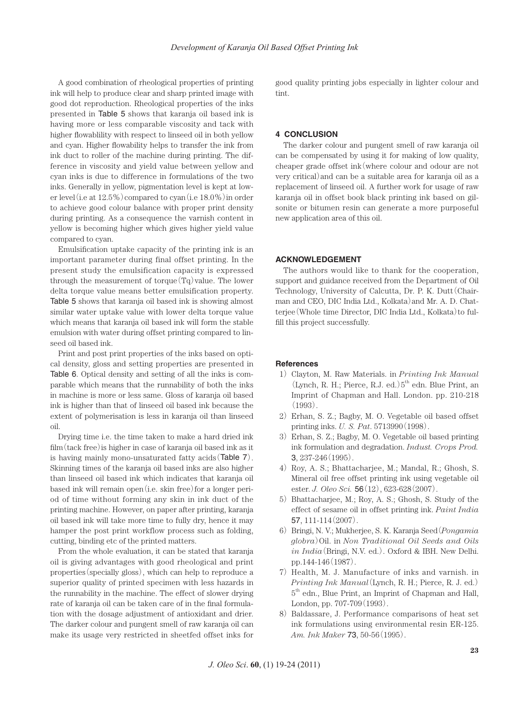A good combination of rheological properties of printing ink will help to produce clear and sharp printed image with good dot reproduction. Rheological properties of the inks presented in Table 5 shows that karanja oil based ink is having more or less comparable viscosity and tack with higher flowablility with respect to linseed oil in both yellow and cyan. Higher flowability helps to transfer the ink from ink duct to roller of the machine during printing. The difference in viscosity and yield value between yellow and cyan inks is due to difference in formulations of the two inks. Generally in yellow, pigmentation level is kept at lower level(i.e at  $12.5\%$ ) compared to cyan(i.e  $18.0\%$ ) in order to achieve good colour balance with proper print density during printing. As a consequence the varnish content in yellow is becoming higher which gives higher yield value compared to cyan.

Emulsification uptake capacity of the printing ink is an important parameter during final offset printing. In the present study the emulsification capacity is expressed through the measurement of torque( $T<sub>q</sub>$ )value. The lower delta torque value means better emulsification property. Table 5 shows that karanja oil based ink is showing almost similar water uptake value with lower delta torque value which means that karanja oil based ink will form the stable emulsion with water during offset printing compared to linseed oil based ink.

Print and post print properties of the inks based on optical density, gloss and setting properties are presented in Table 6. Optical density and setting of all the inks is comparable which means that the runnability of both the inks in machine is more or less same. Gloss of karanja oil based ink is higher than that of linseed oil based ink because the extent of polymerisation is less in karanja oil than linseed oil.

Drying time i.e. the time taken to make a hard dried ink  $film (tack free)$  is higher in case of karanja oil based ink as it is having mainly mono-unsaturated fatty acids(Table 7). Skinning times of the karanja oil based inks are also higher than linseed oil based ink which indicates that karanja oil based ink will remain open(i.e. skin free)for a longer period of time without forming any skin in ink duct of the printing machine. However, on paper after printing, karanja oil based ink will take more time to fully dry, hence it may hamper the post print workflow process such as folding, cutting, binding etc of the printed matters.

From the whole evaluation, it can be stated that karanja oil is giving advantages with good rheological and print properties(specially gloss), which can help to reproduce a superior quality of printed specimen with less hazards in the runnability in the machine. The effect of slower drying rate of karanja oil can be taken care of in the final formulation with the dosage adjustment of antioxidant and drier. The darker colour and pungent smell of raw karanja oil can make its usage very restricted in sheetfed offset inks for good quality printing jobs especially in lighter colour and tint.

## **4 CONCLUSION**

The darker colour and pungent smell of raw karanja oil can be compensated by using it for making of low quality, cheaper grade offset ink(where colour and odour are not very critical)and can be a suitable area for karanja oil as a replacement of linseed oil. A further work for usage of raw karanja oil in offset book black printing ink based on gilsonite or bitumen resin can generate a more purposeful new application area of this oil.

## **ACKNOWLEDGEMENT**

The authors would like to thank for the cooperation, support and guidance received from the Department of Oil Technology, University of Calcutta, Dr. P. K. Dutt(Chairman and CEO, DIC India Ltd., Kolkata)and Mr. A. D. Chatterjee (Whole time Director, DIC India Ltd., Kolkata) to fulfill this project successfully.

### **References**

- 1) Clayton, M. Raw Materials. in *Printing Ink Manual* (Lynch, R. H.; Pierce, R.J. ed.) $5^{th}$  edn. Blue Print, an Imprint of Chapman and Hall. London. pp. 210-218 (1993).
- 2) Erhan, S. Z.; Bagby, M. O. Vegetable oil based offset printing inks. *U. S. Pat*. 5713990(1998).
- 3) Erhan, S. Z.; Bagby, M. O. Vegetable oil based printing ink formulation and degradation. *Indust. Crops Prod.*  3, 237-246(1995).
- 4) Roy, A. S.; Bhattacharjee, M.; Mandal, R.; Ghosh, S. Mineral oil free offset printing ink using vegetable oil ester. *J. Oleo Sci.* 56(12), 623-628(2007).
- 5) Bhattacharjee, M.; Roy, A. S.; Ghosh, S. Study of the effect of sesame oil in offset printing ink. *Paint India*  57, 111-114(2007).
- 6) Bringi, N. V.; Mukherjee, S. K. Karanja Seed(*Pongamia globra*)Oil. in *Non Traditional Oil Seeds and Oils in India*(Bringi, N.V. ed.). Oxford & IBH. New Delhi. pp.144-146(1987).
- 7) Health, M. J. Manufacture of inks and varnish. in *Printing Ink Manual*(Lynch, R. H.; Pierce, R. J. ed.)  $5<sup>th</sup>$  edn., Blue Print, an Imprint of Chapman and Hall, London, pp. 707-709(1993).
- 8) Baldassare, J. Performance comparisons of heat set ink formulations using environmental resin ER-125. *Am. Ink Maker* 73, 50-56(1995).